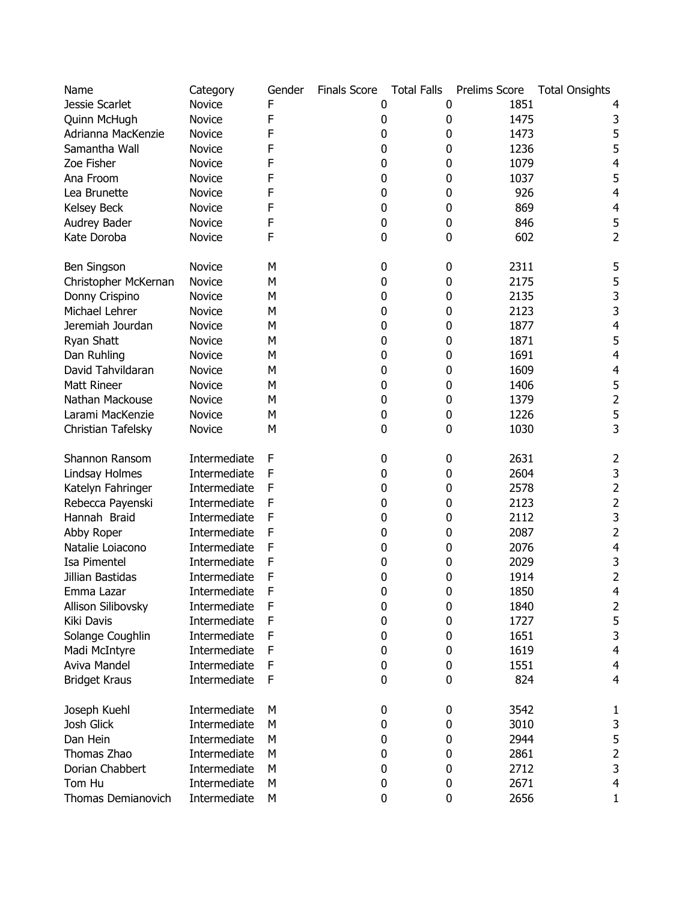| Name                 | Category      | Gender | <b>Finals Score</b> | <b>Total Falls</b> | Prelims Score | <b>Total Onsights</b> |
|----------------------|---------------|--------|---------------------|--------------------|---------------|-----------------------|
| Jessie Scarlet       | Novice        | F      | 0                   |                    | 1851<br>0     |                       |
| Quinn McHugh         | <b>Novice</b> | F      | 0                   |                    | 1475<br>0     | 3                     |
| Adrianna MacKenzie   | <b>Novice</b> | F      | 0                   |                    | 0<br>1473     | 5                     |
| Samantha Wall        | Novice        | F      | 0                   |                    | 0<br>1236     | 5                     |
| Zoe Fisher           | Novice        | F      | 0                   |                    | 0<br>1079     | 4                     |
| Ana Froom            | Novice        | F      | 0                   |                    | 0<br>1037     | 5                     |
| Lea Brunette         | Novice        | F      | 0                   |                    | 926<br>0      | 4                     |
| Kelsey Beck          | Novice        | F      | 0                   |                    | 0<br>869      | 4                     |
| Audrey Bader         | <b>Novice</b> | F      | 0                   |                    | 0<br>846      | 5                     |
| Kate Doroba          | Novice        | F      | 0                   |                    | 602<br>0      | 2                     |
|                      |               |        |                     |                    |               |                       |
| Ben Singson          | <b>Novice</b> | М      | 0                   |                    | 2311<br>0     | 5                     |
| Christopher McKernan | Novice        | M      | 0                   |                    | 2175<br>0     | 5                     |
| Donny Crispino       | Novice        | М      | 0                   |                    | 2135<br>0     | 3                     |
| Michael Lehrer       | Novice        | М      | 0                   |                    | 2123<br>0     | 3                     |
| Jeremiah Jourdan     | Novice        | Μ      | 0                   |                    | 0<br>1877     | 4                     |
| Ryan Shatt           | Novice        | M      | 0                   |                    | 0<br>1871     | 5                     |
| Dan Ruhling          | Novice        | М      | 0                   |                    | 0<br>1691     | $\overline{4}$        |
| David Tahvildaran    | Novice        | M      | 0                   |                    | 0<br>1609     | 4                     |
| Matt Rineer          | Novice        | М      | 0                   |                    | 0<br>1406     | 5                     |
| Nathan Mackouse      | Novice        | М      | 0                   |                    | 0<br>1379     | 2                     |
| Larami MacKenzie     | Novice        | M      | 0                   |                    | 0<br>1226     | 5                     |
| Christian Tafelsky   | Novice        | М      | 0                   |                    | 0<br>1030     | 3                     |
| Shannon Ransom       | Intermediate  | F      | 0                   |                    | 2631<br>0     | 2                     |
| Lindsay Holmes       | Intermediate  | F      | 0                   |                    | 2604<br>0     | 3                     |
| Katelyn Fahringer    | Intermediate  | F      | 0                   |                    | 2578<br>0     | 2                     |
| Rebecca Payenski     | Intermediate  | F      | 0                   |                    | 0<br>2123     | 2                     |
| Hannah Braid         | Intermediate  | F      | 0                   |                    | 0<br>2112     | 3                     |
| Abby Roper           | Intermediate  | F      | 0                   |                    | 0<br>2087     | $\overline{2}$        |
| Natalie Loiacono     | Intermediate  | F      | 0                   |                    | 0<br>2076     | 4                     |
| Isa Pimentel         | Intermediate  | F      | 0                   |                    | 2029<br>0     | 3                     |
| Jillian Bastidas     | Intermediate  | F      | 0                   |                    | 1914<br>0     | 2                     |
| Emma Lazar           | Intermediate  | F      | 0                   |                    | 1850<br>0     | 4                     |
| Allison Silibovsky   | Intermediate  | F      | 0                   |                    | 0<br>1840     | 2                     |
| Kiki Davis           | Intermediate  | F      | 0                   |                    | 0<br>1727     | 5                     |
| Solange Coughlin     | Intermediate  | F      | 0                   |                    | 0<br>1651     | 3                     |
| Madi McIntyre        | Intermediate  | F      | 0                   |                    | 0<br>1619     | $\overline{4}$        |
| Aviva Mandel         | Intermediate  | F      | 0                   |                    | 0<br>1551     | 4                     |
| <b>Bridget Kraus</b> | Intermediate  | F      | 0                   |                    | 824<br>0      | 4                     |
|                      |               |        |                     |                    |               |                       |
| Joseph Kuehl         | Intermediate  | М      | 0                   |                    | 3542<br>0     | 1                     |
| Josh Glick           | Intermediate  | М      | 0                   |                    | 3010<br>0     | 3                     |
| Dan Hein             | Intermediate  | Μ      | 0                   |                    | 2944<br>0     | 5                     |
| Thomas Zhao          | Intermediate  | М      | 0                   |                    | 2861<br>0     | $\mathbf 2$           |
| Dorian Chabbert      | Intermediate  | М      | 0                   |                    | 2712<br>0     | 3                     |
| Tom Hu               | Intermediate  | M      | 0                   |                    | 2671<br>0     | 4                     |
| Thomas Demianovich   | Intermediate  | M      | 0                   |                    | 0<br>2656     | 1                     |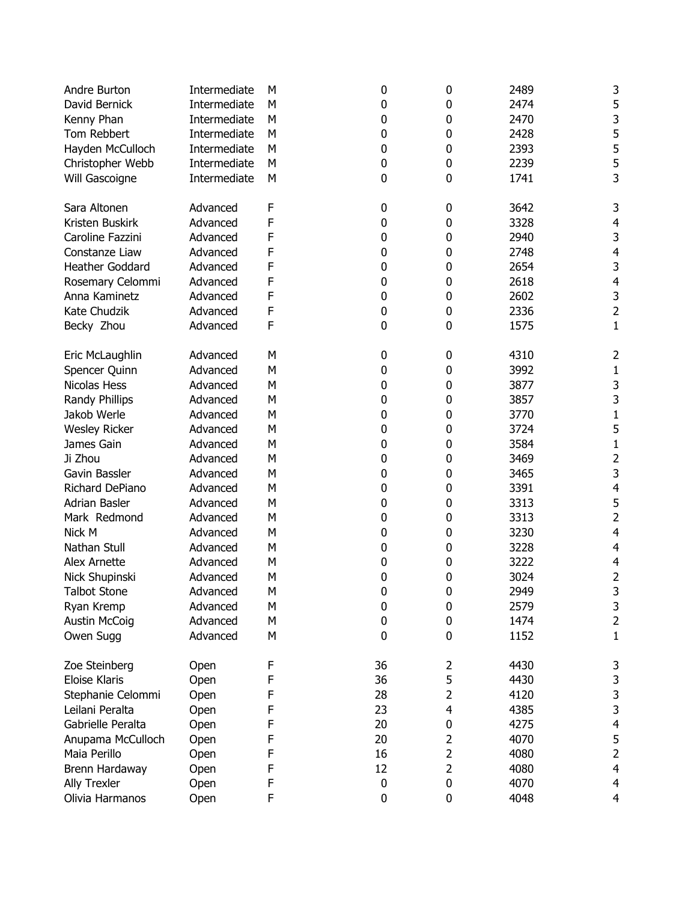| Andre Burton                          | Intermediate | М | 0  | 0              | 2489 | 3                       |
|---------------------------------------|--------------|---|----|----------------|------|-------------------------|
| David Bernick                         | Intermediate | M | 0  | 0              | 2474 | 5                       |
| Kenny Phan                            | Intermediate | M | 0  | 0              | 2470 | 3                       |
| Tom Rebbert                           | Intermediate | M | 0  | 0              | 2428 | 5                       |
| Hayden McCulloch                      | Intermediate | M | 0  | 0              | 2393 | 5                       |
| Christopher Webb                      | Intermediate | M | 0  | 0              | 2239 | 5                       |
| Will Gascoigne                        | Intermediate | M | 0  | 0              | 1741 | 3                       |
|                                       |              |   |    |                |      |                         |
| Sara Altonen                          | Advanced     | F | 0  | 0              | 3642 | 3                       |
| Kristen Buskirk                       | Advanced     | F | 0  | 0              | 3328 | $\overline{4}$          |
| Caroline Fazzini                      | Advanced     | F | 0  | 0              | 2940 | 3                       |
| Constanze Liaw                        | Advanced     | F | 0  | 0              | 2748 | $\overline{4}$          |
| Heather Goddard                       | Advanced     | F | 0  | 0              | 2654 | 3                       |
| Rosemary Celommi                      | Advanced     | F | 0  | 0              | 2618 | $\overline{\mathbf{4}}$ |
| Anna Kaminetz                         | Advanced     | F | 0  | 0              | 2602 | 3                       |
| Kate Chudzik                          | Advanced     | F | 0  | 0              | 2336 | $\overline{2}$          |
| Becky Zhou                            | Advanced     | F | 0  | 0              | 1575 | $\mathbf{1}$            |
|                                       |              |   |    |                |      |                         |
| Eric McLaughlin                       | Advanced     | M | 0  | 0              | 4310 | $\overline{2}$          |
| Spencer Quinn                         | Advanced     | M | 0  | 0              | 3992 | $\mathbf{1}$            |
| Nicolas Hess                          | Advanced     | M | 0  | 0              | 3877 | 3                       |
| Randy Phillips                        | Advanced     | M | 0  | 0              | 3857 | 3                       |
| Jakob Werle                           | Advanced     | M | 0  | 0              | 3770 | $\mathbf 1$             |
| <b>Wesley Ricker</b>                  | Advanced     | M | 0  | 0              | 3724 | 5                       |
| James Gain                            | Advanced     | M | 0  | 0              | 3584 | $\mathbf{1}$            |
| Ji Zhou                               | Advanced     | M | 0  | 0              | 3469 | $\overline{2}$          |
| Gavin Bassler                         | Advanced     | M | 0  | 0              | 3465 | 3                       |
| Richard DePiano                       | Advanced     | M | 0  | 0              | 3391 | $\overline{\mathbf{r}}$ |
| Adrian Basler                         | Advanced     | M |    |                | 3313 | 5                       |
|                                       |              |   | 0  | 0              |      | $\overline{2}$          |
| Mark Redmond                          | Advanced     | M | 0  | 0              | 3313 |                         |
| Nick M                                | Advanced     | M | 0  | 0              | 3230 | $\overline{4}$          |
| Nathan Stull                          | Advanced     | M | 0  | 0              | 3228 | $\overline{4}$          |
| Alex Arnette                          | Advanced     | M | 0  | 0              | 3222 | 4                       |
| Nick Shupinski                        | Advanced     | M | 0  | 0              | 3024 | 2                       |
| <b>Talbot Stone</b>                   | Advanced     | Μ | 0  | 0              | 2949 | 3                       |
| Ryan Kremp                            | Advanced     | М | 0  | 0              | 2579 | 3                       |
| <b>Austin McCoig</b>                  | Advanced     | M | 0  | 0              | 1474 | $\overline{2}$          |
| Owen Sugg                             | Advanced     | M | 0  | 0              | 1152 | $\mathbf{1}$            |
|                                       |              | F | 36 | 2              | 4430 |                         |
| Zoe Steinberg<br><b>Eloise Klaris</b> | Open         | F | 36 | 5              | 4430 | 3<br>3                  |
|                                       | Open         | F | 28 | $\overline{2}$ | 4120 | 3                       |
| Stephanie Celommi<br>Leilani Peralta  | Open         |   |    | 4              |      | 3                       |
|                                       | Open         | F | 23 |                | 4385 |                         |
| Gabrielle Peralta                     | Open         | F | 20 | 0              | 4275 | $\overline{\mathbf{4}}$ |
| Anupama McCulloch                     | Open         | F | 20 | 2              | 4070 | 5                       |
| Maia Perillo                          | Open         | F | 16 | 2              | 4080 | $\overline{2}$          |
| Brenn Hardaway                        | Open         | F | 12 | 2              | 4080 | $\overline{4}$          |
| <b>Ally Trexler</b>                   | Open         | F | 0  | 0              | 4070 | $\overline{\mathbf{4}}$ |
| Olivia Harmanos                       | Open         | F | 0  | 0              | 4048 | $\overline{4}$          |